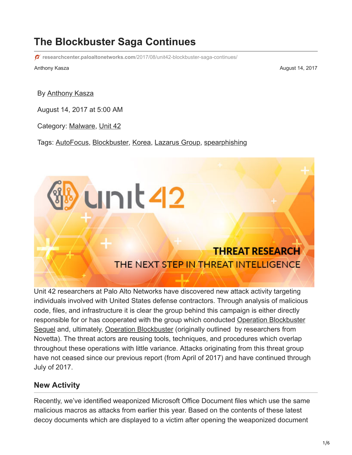## **The Blockbuster Saga Continues**

**researchcenter.paloaltonetworks.com**[/2017/08/unit42-blockbuster-saga-continues/](https://researchcenter.paloaltonetworks.com/2017/08/unit42-blockbuster-saga-continues/)

Anthony Kasza August 14, 2017

By [Anthony Kasza](https://unit42.paloaltonetworks.com/author/anthony-kasza/)

August 14, 2017 at 5:00 AM

Category: [Malware,](https://unit42.paloaltonetworks.com/category/malware-2/) [Unit 42](https://unit42.paloaltonetworks.com/category/unit42/)

Tags: [AutoFocus](https://unit42.paloaltonetworks.com/tag/autofocus/), [Blockbuster,](https://unit42.paloaltonetworks.com/tag/blockbuster/) [Korea](https://unit42.paloaltonetworks.com/tag/korea/), [Lazarus Group,](https://unit42.paloaltonetworks.com/tag/lazarus-group/) [spearphishing](https://unit42.paloaltonetworks.com/tag/spearphishing/)

unit42

# **THREAT RESEARCH** THE NEXT STEP IN THREAT INTELLIGENCE

Unit 42 researchers at Palo Alto Networks have discovered new attack activity targeting individuals involved with United States defense contractors. Through analysis of malicious code, files, and infrastructure it is clear the group behind this campaign is either directly [responsible for or has cooperated with the group which conducted Operation Blockbuster](https://blog.paloaltonetworks.com/2017/04/unit42-the-blockbuster-sequel/) Sequel and, ultimately, [Operation Blockbuster](https://www.operationblockbuster.com/wp-content/uploads/2016/02/Operation-Blockbuster-Report.pdf) (originally outlined by researchers from Novetta). The threat actors are reusing tools, techniques, and procedures which overlap throughout these operations with little variance. Attacks originating from this threat group have not ceased since our previous report (from April of 2017) and have continued through July of 2017.

#### **New Activity**

Recently, we've identified weaponized Microsoft Office Document files which use the same malicious macros as attacks from earlier this year. Based on the contents of these latest decoy documents which are displayed to a victim after opening the weaponized document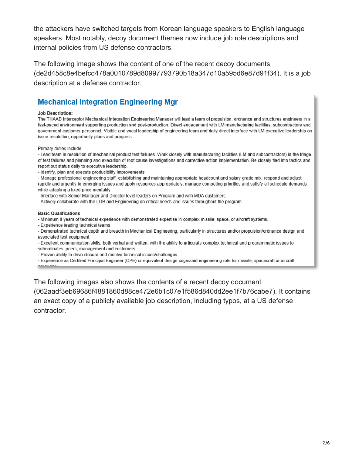the attackers have switched targets from Korean language speakers to English language speakers. Most notably, decoy document themes now include job role descriptions and internal policies from US defense contractors.

The following image shows the content of one of the recent decoy documents (de2d458c8e4befcd478a0010789d80997793790b18a347d10a595d6e87d91f34). It is a job description at a defense contractor.

#### **Mechanical Integration Engineering Mgr**

#### **Job Description:**

The THAAD Interceptor Mechanical Integration Engineering Manager will lead a team of propulsion, ordnance and structures engineers in a fast-paced environment supporting production and post-production. Direct engagement with LM manufacturing facilities, subcontractors and government customer personnel. Visible and vocal leadership of engineering team and daily direct interface with LM executive leadership on issue resolution, opportunity plans and progress.

Primary duties include:

- Lead team in resolution of mechanical product test failures. Work closely with manufacturing facilities (LM and subcontractors) in the triage of test failures and planning and execution of root cause investigations and corrective action implementation. Be closely tied into tactics and report out status daily to executive leadership.

- Identify, plan and execute producibility improvements

- Manage professional engineering staff, establishing and maintaining appropriate headcount and salary grade mix; respond and adjust rapidly and urgently to emerging issues and apply resources appropriately; manage competing priorities and satisfy all schedule demands while adopting a fixed-price mentality

- Interface with Senior Manager and Director level leaders on Program and with MDA customers.

- Actively collaborate with the LOB and Engineering on critical needs and issues throughout the program

#### **Basic Qualifications**

- Minimum 8 years of technical experience with demonstrated expertise in complex missile, space, or aircraft systems.

- Experience leading technical teams

- Demonstrated technical depth and breadth in Mechanical Engineering, particularly in structures and/or propulsion/ordnance design and associated test equipment

- Excellent communication skills, both verbal and written, with the ability to articulate complex technical and programmatic issues to subordinates, peers, management and customers.

- Proven ability to drive closure and resolve technical issues/challenges

- Experience as Certified Principal Engineer (CPE) or equivalent design cognizant engineering role for missile, spacecraft or aircraft

The following images also shows the contents of a recent decoy document (062aadf3eb69686f4881860d88ce472e6b1c07e1f586d840dd2ee1f7b76cabe7). It contains an exact copy of a publicly available job description, including typos, at a US defense contractor.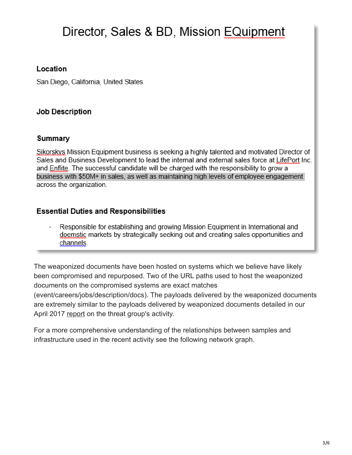# Director, Sales & BD, Mission EQuipment

#### Location

San Diego, California, United States

#### **Job Description**

#### Summary

Sikorskys Mission Equipment business is seeking a highly talented and motivated Director of Sales and Business Development to lead the internal and external sales force at LifePort Inc. and Enflite. The successful candidate will be charged with the responsibility to grow a business with \$50M+ in sales, as well as maintaining high levels of employee engagement across the organization.

#### **Essential Duties and Responsibilities**

Responsible for establishing and growing Mission Equipment in International and doemstic markets by strategically seeking out and creating sales opportunities and channels.

The weaponized documents have been hosted on systems which we believe have likely been compromised and repurposed. Two of the URL paths used to host the weaponized documents on the compromised systems are exact matches (event/careers/jobs/description/docs). The payloads delivered by the weaponized documents are extremely similar to the payloads delivered by weaponized documents detailed in our April 2017 [report](https://blog.paloaltonetworks.com/2017/04/unit42-the-blockbuster-sequel/) on the threat group's activity.

For a more comprehensive understanding of the relationships between samples and infrastructure used in the recent activity see the following network graph.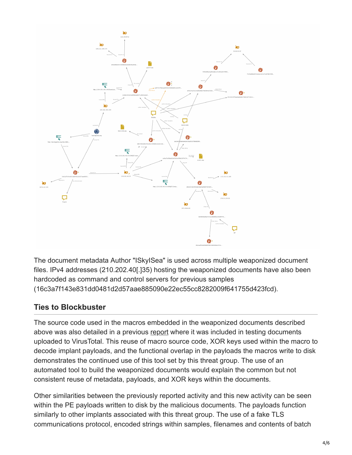

The document metadata Author "ISkyISea" is used across multiple weaponized document files. IPv4 addresses (210.202.40[.]35) hosting the weaponized documents have also been hardcoded as command and control servers for previous samples (16c3a7f143e831dd0481d2d57aae885090e22ec55cc8282009f641755d423fcd).

### **Ties to Blockbuster**

The source code used in the macros embedded in the weaponized documents described above was also detailed in a previous [report](https://blog.paloaltonetworks.com/2017/04/unit42-the-blockbuster-sequel/) where it was included in testing documents uploaded to VirusTotal. This reuse of macro source code, XOR keys used within the macro to decode implant payloads, and the functional overlap in the payloads the macros write to disk demonstrates the continued use of this tool set by this threat group. The use of an automated tool to build the weaponized documents would explain the common but not consistent reuse of metadata, payloads, and XOR keys within the documents.

Other similarities between the previously reported activity and this new activity can be seen within the PE payloads written to disk by the malicious documents. The payloads function similarly to other implants associated with this threat group. The use of a fake TLS communications protocol, encoded strings within samples, filenames and contents of batch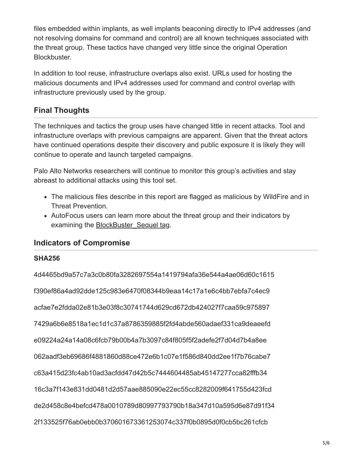files embedded within implants, as well implants beaconing directly to IPv4 addresses (and not resolving domains for command and control) are all known techniques associated with the threat group. These tactics have changed very little since the original Operation Blockbuster.

In addition to tool reuse, infrastructure overlaps also exist. URLs used for hosting the malicious documents and IPv4 addresses used for command and control overlap with infrastructure previously used by the group.

## **Final Thoughts**

The techniques and tactics the group uses have changed little in recent attacks. Tool and infrastructure overlaps with previous campaigns are apparent. Given that the threat actors have continued operations despite their discovery and public exposure it is likely they will continue to operate and launch targeted campaigns.

Palo Alto Networks researchers will continue to monitor this group's activities and stay abreast to additional attacks using this tool set.

- The malicious files describe in this report are flagged as malicious by WildFire and in Threat Prevention.
- AutoFocus users can learn more about the threat group and their indicators by examining the [BlockBuster\\_Sequel tag](https://autofocus.paloaltonetworks.com/).

#### **Indicators of Compromise**

#### **SHA256**

4d4465bd9a57c7a3c0b80fa3282697554a1419794afa36e544a4ae06d60c1615 f390ef86a4ad92dde125c983e6470f08344b9eaa14c17a1e6c4bb7ebfa7c4ec9 acfae7e2fdda02e81b3e03f8c30741744d629cd672db424027f7caa59c975897 7429a6b6e8518a1ec1d1c37a8786359885f2fd4abde560adaef331ca9deaeefd e09224a24a14a08c6fcb79b00b4a7b3097c84f805f5f2adefe2f7d04d7b4a8ee 062aadf3eb69686f4881860d88ce472e6b1c07e1f586d840dd2ee1f7b76cabe7 c63a415d23fc4ab10ad3acfdd47d42b5c7444604485ab45147277cca82fffb34 16c3a7f143e831dd0481d2d57aae885090e22ec55cc8282009f641755d423fcd de2d458c8e4befcd478a0010789d80997793790b18a347d10a595d6e87d91f34 2f133525f76ab0ebb0b370601673361253074c337f0b0895d0f0cb5bc261cfcb